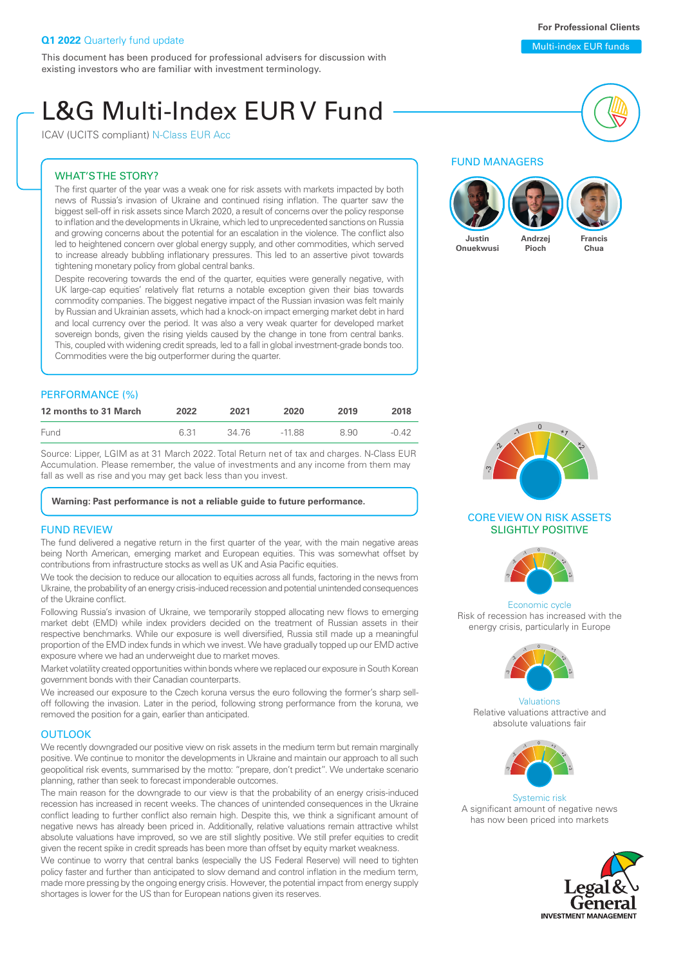This document has been produced for professional advisers for discussion with existing investors who are familiar with investment terminology.

# L&G Multi-Index EUR V Fund

ICAV (UCITS compliant) N-Class EUR Acc

#### WHAT'S THE STORY?

The first quarter of the year was a weak one for risk assets with markets impacted by both news of Russia's invasion of Ukraine and continued rising inflation. The quarter saw the biggest sell-off in risk assets since March 2020, a result of concerns over the policy response to inflation and the developments in Ukraine, which led to unprecedented sanctions on Russia and growing concerns about the potential for an escalation in the violence. The conflict also led to heightened concern over global energy supply, and other commodities, which served to increase already bubbling inflationary pressures. This led to an assertive pivot towards tightening monetary policy from global central banks.

Despite recovering towards the end of the quarter, equities were generally negative, with UK large-cap equities' relatively flat returns a notable exception given their bias towards commodity companies. The biggest negative impact of the Russian invasion was felt mainly by Russian and Ukrainian assets, which had a knock-on impact emerging market debt in hard and local currency over the period. It was also a very weak quarter for developed market sovereign bonds, given the rising yields caused by the change in tone from central banks. This, coupled with widening credit spreads, led to a fall in global investment-grade bonds too. Commodities were the big outperformer during the quarter.

#### PERFORMANCE (%)

| 12 months to 31 March | 2022 | 2021  | 2020  | 2019 | 2018  |
|-----------------------|------|-------|-------|------|-------|
| Fund                  | 6.31 | 34 76 | -1188 | 8.90 | -0.42 |

Source: Lipper, LGIM as at 31 March 2022. Total Return net of tax and charges. N-Class EUR Accumulation. Please remember, the value of investments and any income from them may fall as well as rise and you may get back less than you invest.

#### **Warning: Past performance is not a reliable guide to future performance.**

#### FUND REVIEW

The fund delivered a negative return in the first quarter of the year, with the main negative areas being North American, emerging market and European equities. This was somewhat offset by contributions from infrastructure stocks as well as UK and Asia Pacific equities.

We took the decision to reduce our allocation to equities across all funds, factoring in the news from Ukraine, the probability of an energy crisis-induced recession and potential unintended consequences of the Ukraine conflict.

Following Russia's invasion of Ukraine, we temporarily stopped allocating new flows to emerging market debt (EMD) while index providers decided on the treatment of Russian assets in their respective benchmarks. While our exposure is well diversified, Russia still made up a meaningful proportion of the EMD index funds in which we invest. We have gradually topped up our EMD active exposure where we had an underweight due to market moves.

Market volatility created opportunities within bonds where we replaced our exposure in South Korean government bonds with their Canadian counterparts.

We increased our exposure to the Czech koruna versus the euro following the former's sharp selloff following the invasion. Later in the period, following strong performance from the koruna, we removed the position for a gain, earlier than anticipated.

#### **OUTLOOK**

We recently downgraded our positive view on risk assets in the medium term but remain marginally positive. We continue to monitor the developments in Ukraine and maintain our approach to all such geopolitical risk events, summarised by the motto: "prepare, don't predict". We undertake scenario planning, rather than seek to forecast imponderable outcomes.

The main reason for the downgrade to our view is that the probability of an energy crisis-induced recession has increased in recent weeks. The chances of unintended consequences in the Ukraine conflict leading to further conflict also remain high. Despite this, we think a significant amount of negative news has already been priced in. Additionally, relative valuations remain attractive whilst absolute valuations have improved, so we are still slightly positive. We still prefer equities to credit given the recent spike in credit spreads has been more than offset by equity market weakness

We continue to worry that central banks (especially the US Federal Reserve) will need to tighten policy faster and further than anticipated to slow demand and control inflation in the medium term, made more pressing by the ongoing energy crisis. However, the potential impact from energy supply shortages is lower for the US than for European nations given its reserves.

#### FUND MANAGERS





#### CORE VIEW ON RISK ASSETS SLIGHTLY POSITIVE



Economic cycle Risk of recession has increased with the energy crisis, particularly in Europe



Valuations Relative valuations attractive and absolute valuations fair



Systemic risk A significant amount of negative news has now been priced into markets